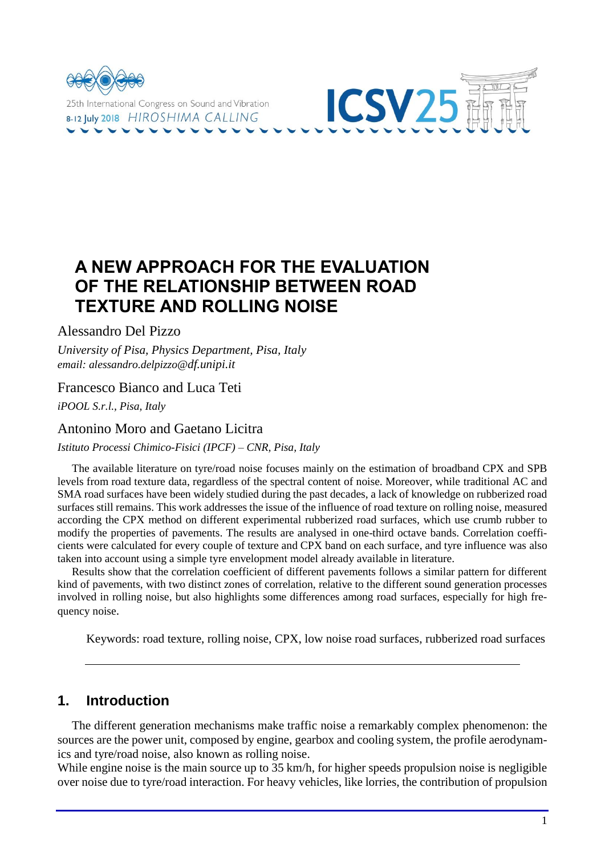

# **A NEW APPROACH FOR THE EVALUATION OF THE RELATIONSHIP BETWEEN ROAD TEXTURE AND ROLLING NOISE**

Alessandro Del Pizzo

*University of Pisa, Physics Department, Pisa, Italy email: alessandro.delpizzo@df.unipi.it*

### Francesco Bianco and Luca Teti

*iPOOL S.r.l., Pisa, Italy*

### Antonino Moro and Gaetano Licitra

*Istituto Processi Chimico-Fisici (IPCF) – CNR, Pisa, Italy*

The available literature on tyre/road noise focuses mainly on the estimation of broadband CPX and SPB levels from road texture data, regardless of the spectral content of noise. Moreover, while traditional AC and SMA road surfaces have been widely studied during the past decades, a lack of knowledge on rubberized road surfaces still remains. This work addresses the issue of the influence of road texture on rolling noise, measured according the CPX method on different experimental rubberized road surfaces, which use crumb rubber to modify the properties of pavements. The results are analysed in one-third octave bands. Correlation coefficients were calculated for every couple of texture and CPX band on each surface, and tyre influence was also taken into account using a simple tyre envelopment model already available in literature.

Results show that the correlation coefficient of different pavements follows a similar pattern for different kind of pavements, with two distinct zones of correlation, relative to the different sound generation processes involved in rolling noise, but also highlights some differences among road surfaces, especially for high frequency noise.

Keywords: road texture, rolling noise, CPX, low noise road surfaces, rubberized road surfaces

## **1. Introduction**

The different generation mechanisms make traffic noise a remarkably complex phenomenon: the sources are the power unit, composed by engine, gearbox and cooling system, the profile aerodynamics and tyre/road noise, also known as rolling noise.

While engine noise is the main source up to 35 km/h, for higher speeds propulsion noise is negligible over noise due to tyre/road interaction. For heavy vehicles, like lorries, the contribution of propulsion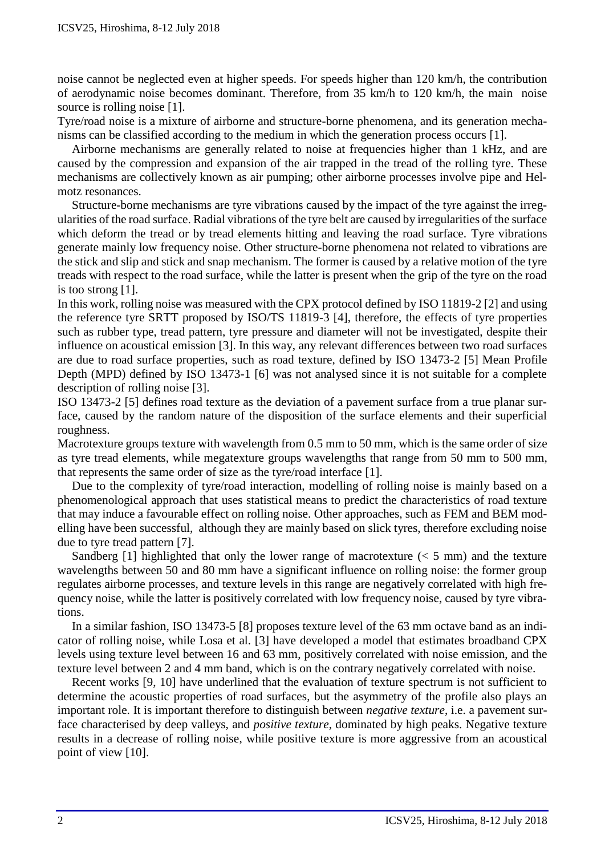noise cannot be neglected even at higher speeds. For speeds higher than 120 km/h, the contribution of aerodynamic noise becomes dominant. Therefore, from 35 km/h to 120 km/h, the main noise source is rolling noise [1].

Tyre/road noise is a mixture of airborne and structure-borne phenomena, and its generation mechanisms can be classified according to the medium in which the generation process occurs [1].

Airborne mechanisms are generally related to noise at frequencies higher than 1 kHz, and are caused by the compression and expansion of the air trapped in the tread of the rolling tyre. These mechanisms are collectively known as air pumping; other airborne processes involve pipe and Helmotz resonances.

Structure-borne mechanisms are tyre vibrations caused by the impact of the tyre against the irregularities of the road surface. Radial vibrations of the tyre belt are caused by irregularities of the surface which deform the tread or by tread elements hitting and leaving the road surface. Tyre vibrations generate mainly low frequency noise. Other structure-borne phenomena not related to vibrations are the stick and slip and stick and snap mechanism. The former is caused by a relative motion of the tyre treads with respect to the road surface, while the latter is present when the grip of the tyre on the road is too strong [1].

In this work, rolling noise was measured with the CPX protocol defined by ISO 11819-2 [2] and using the reference tyre SRTT proposed by ISO/TS 11819-3 [4], therefore, the effects of tyre properties such as rubber type, tread pattern, tyre pressure and diameter will not be investigated, despite their influence on acoustical emission [3]. In this way, any relevant differences between two road surfaces are due to road surface properties, such as road texture, defined by ISO 13473-2 [5] Mean Profile Depth (MPD) defined by ISO 13473-1 [6] was not analysed since it is not suitable for a complete description of rolling noise [3].

ISO 13473-2 [5] defines road texture as the deviation of a pavement surface from a true planar surface, caused by the random nature of the disposition of the surface elements and their superficial roughness.

Macrotexture groups texture with wavelength from 0.5 mm to 50 mm, which is the same order of size as tyre tread elements, while megatexture groups wavelengths that range from 50 mm to 500 mm, that represents the same order of size as the tyre/road interface [1].

Due to the complexity of tyre/road interaction, modelling of rolling noise is mainly based on a phenomenological approach that uses statistical means to predict the characteristics of road texture that may induce a favourable effect on rolling noise. Other approaches, such as FEM and BEM modelling have been successful, although they are mainly based on slick tyres, therefore excluding noise due to tyre tread pattern [7].

Sandberg  $[1]$  highlighted that only the lower range of macrotexture  $(< 5$  mm) and the texture wavelengths between 50 and 80 mm have a significant influence on rolling noise: the former group regulates airborne processes, and texture levels in this range are negatively correlated with high frequency noise, while the latter is positively correlated with low frequency noise, caused by tyre vibrations.

In a similar fashion, ISO 13473-5 [8] proposes texture level of the 63 mm octave band as an indicator of rolling noise, while Losa et al. [3] have developed a model that estimates broadband CPX levels using texture level between 16 and 63 mm, positively correlated with noise emission, and the texture level between 2 and 4 mm band, which is on the contrary negatively correlated with noise.

Recent works [9, 10] have underlined that the evaluation of texture spectrum is not sufficient to determine the acoustic properties of road surfaces, but the asymmetry of the profile also plays an important role. It is important therefore to distinguish between *negative texture*, i.e. a pavement surface characterised by deep valleys, and *positive texture*, dominated by high peaks. Negative texture results in a decrease of rolling noise, while positive texture is more aggressive from an acoustical point of view [10].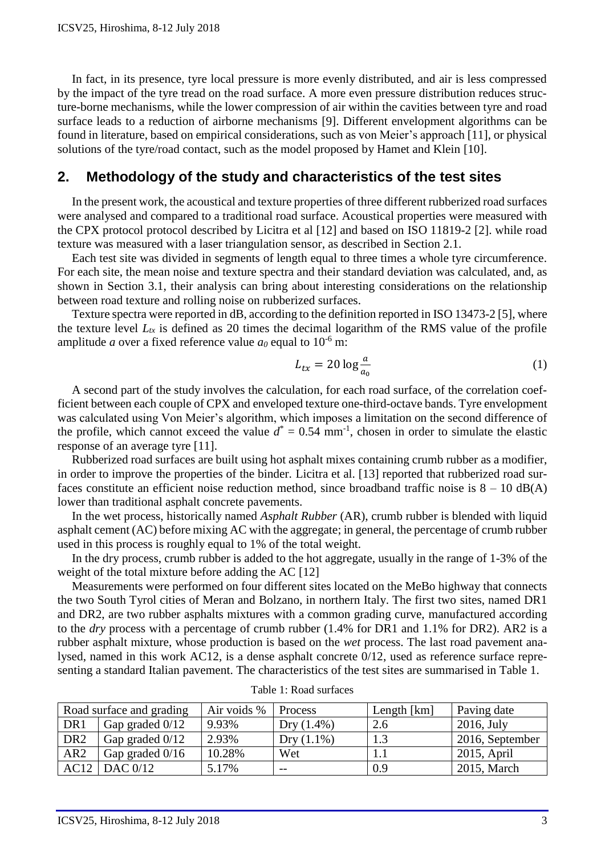In fact, in its presence, tyre local pressure is more evenly distributed, and air is less compressed by the impact of the tyre tread on the road surface. A more even pressure distribution reduces structure-borne mechanisms, while the lower compression of air within the cavities between tyre and road surface leads to a reduction of airborne mechanisms [9]. Different envelopment algorithms can be found in literature, based on empirical considerations, such as von Meier's approach [11], or physical solutions of the tyre/road contact, such as the model proposed by Hamet and Klein [10].

# **2. Methodology of the study and characteristics of the test sites**

In the present work, the acoustical and texture properties of three different rubberized road surfaces were analysed and compared to a traditional road surface. Acoustical properties were measured with the CPX protocol protocol described by Licitra et al [12] and based on ISO 11819-2 [2]. while road texture was measured with a laser triangulation sensor, as described in Section 2.1.

Each test site was divided in segments of length equal to three times a whole tyre circumference. For each site, the mean noise and texture spectra and their standard deviation was calculated, and, as shown in Section 3.1, their analysis can bring about interesting considerations on the relationship between road texture and rolling noise on rubberized surfaces.

Texture spectra were reported in dB, according to the definition reported in ISO 13473-2 [5], where the texture level  $L_{tx}$  is defined as 20 times the decimal logarithm of the RMS value of the profile amplitude *a* over a fixed reference value *a*<sup>0</sup> equal to 10<sup>-6</sup> m:

$$
L_{tx} = 20 \log \frac{a}{a_0} \tag{1}
$$

A second part of the study involves the calculation, for each road surface, of the correlation coefficient between each couple of CPX and enveloped texture one-third-octave bands. Tyre envelopment was calculated using Von Meier's algorithm, which imposes a limitation on the second difference of the profile, which cannot exceed the value  $d^* = 0.54$  mm<sup>-1</sup>, chosen in order to simulate the elastic response of an average tyre [11].

Rubberized road surfaces are built using hot asphalt mixes containing crumb rubber as a modifier, in order to improve the properties of the binder. Licitra et al. [13] reported that rubberized road surfaces constitute an efficient noise reduction method, since broadband traffic noise is  $8 - 10$  dB(A) lower than traditional asphalt concrete pavements.

In the wet process, historically named *Asphalt Rubber* (AR), crumb rubber is blended with liquid asphalt cement (AC) before mixing AC with the aggregate; in general, the percentage of crumb rubber used in this process is roughly equal to 1% of the total weight.

In the dry process, crumb rubber is added to the hot aggregate, usually in the range of 1-3% of the weight of the total mixture before adding the AC [12]

Measurements were performed on four different sites located on the MeBo highway that connects the two South Tyrol cities of Meran and Bolzano, in northern Italy. The first two sites, named DR1 and DR2, are two rubber asphalts mixtures with a common grading curve, manufactured according to the *dry* process with a percentage of crumb rubber (1.4% for DR1 and 1.1% for DR2). AR2 is a rubber asphalt mixture, whose production is based on the *wet* process. The last road pavement analysed, named in this work AC12, is a dense asphalt concrete 0/12, used as reference surface representing a standard Italian pavement. The characteristics of the test sites are summarised in Table 1.

| Road surface and grading |                   | Air voids % | Process      | Length [km] | Paving date     |
|--------------------------|-------------------|-------------|--------------|-------------|-----------------|
| DR1                      | Gap graded 0/12   | 9.93%       | $Dry(1.4\%)$ | 2.6         | $2016$ , July   |
| DR <sub>2</sub>          | Gap graded $0/12$ | 2.93%       | $Dry(1.1\%)$ |             | 2016, September |
| AR <sub>2</sub>          | Gap graded $0/16$ | 10.28%      | Wet          |             | $2015$ , April  |
| AC12                     | DAC 0/12          | 5.17%       | $- -$        | 0.9         | 2015, March     |

Table 1: Road surfaces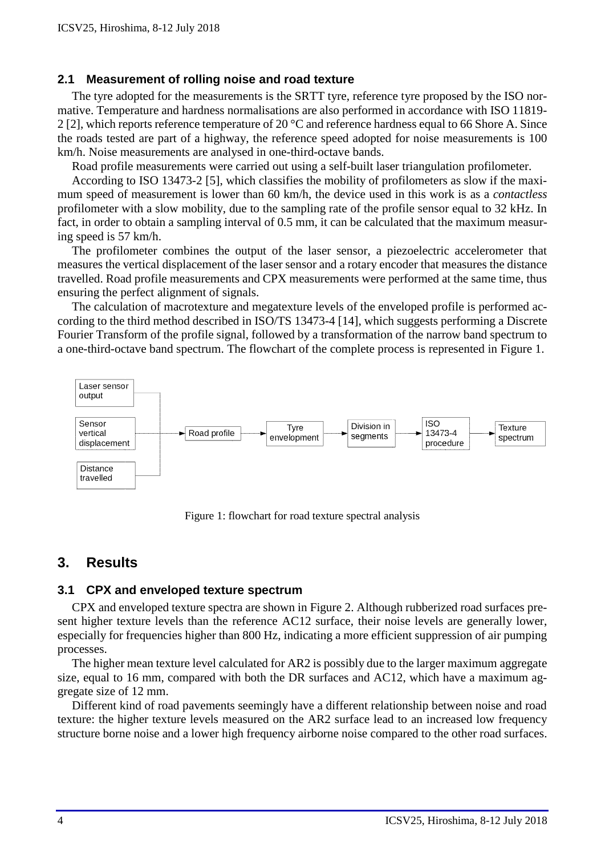#### **2.1 Measurement of rolling noise and road texture**

The tyre adopted for the measurements is the SRTT tyre, reference tyre proposed by the ISO normative. Temperature and hardness normalisations are also performed in accordance with ISO 11819- 2 [2], which reports reference temperature of 20 °C and reference hardness equal to 66 Shore A. Since the roads tested are part of a highway, the reference speed adopted for noise measurements is 100 km/h. Noise measurements are analysed in one-third-octave bands.

Road profile measurements were carried out using a self-built laser triangulation profilometer.

According to ISO 13473-2 [5], which classifies the mobility of profilometers as slow if the maximum speed of measurement is lower than 60 km/h, the device used in this work is as a *contactless* profilometer with a slow mobility, due to the sampling rate of the profile sensor equal to 32 kHz. In fact, in order to obtain a sampling interval of 0.5 mm, it can be calculated that the maximum measuring speed is 57 km/h.

The profilometer combines the output of the laser sensor, a piezoelectric accelerometer that measures the vertical displacement of the laser sensor and a rotary encoder that measures the distance travelled. Road profile measurements and CPX measurements were performed at the same time, thus ensuring the perfect alignment of signals.

The calculation of macrotexture and megatexture levels of the enveloped profile is performed according to the third method described in ISO/TS 13473-4 [14], which suggests performing a Discrete Fourier Transform of the profile signal, followed by a transformation of the narrow band spectrum to a one-third-octave band spectrum. The flowchart of the complete process is represented in Figure 1.



Figure 1: flowchart for road texture spectral analysis

## **3. Results**

#### **3.1 CPX and enveloped texture spectrum**

CPX and enveloped texture spectra are shown in Figure 2. Although rubberized road surfaces present higher texture levels than the reference AC12 surface, their noise levels are generally lower, especially for frequencies higher than 800 Hz, indicating a more efficient suppression of air pumping processes.

The higher mean texture level calculated for AR2 is possibly due to the larger maximum aggregate size, equal to 16 mm, compared with both the DR surfaces and AC12, which have a maximum aggregate size of 12 mm.

Different kind of road pavements seemingly have a different relationship between noise and road texture: the higher texture levels measured on the AR2 surface lead to an increased low frequency structure borne noise and a lower high frequency airborne noise compared to the other road surfaces.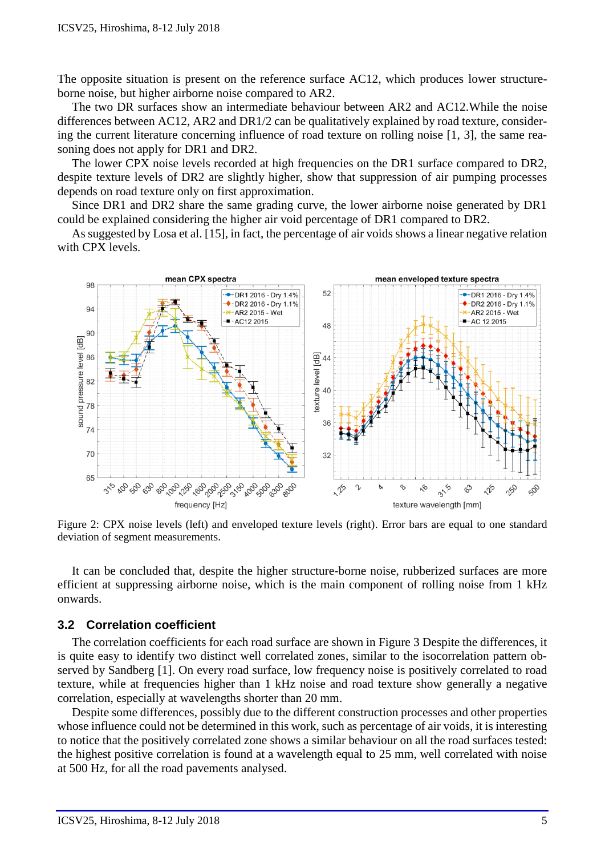The opposite situation is present on the reference surface AC12, which produces lower structureborne noise, but higher airborne noise compared to AR2.

The two DR surfaces show an intermediate behaviour between AR2 and AC12.While the noise differences between AC12, AR2 and DR1/2 can be qualitatively explained by road texture, considering the current literature concerning influence of road texture on rolling noise [1, 3], the same reasoning does not apply for DR1 and DR2.

The lower CPX noise levels recorded at high frequencies on the DR1 surface compared to DR2, despite texture levels of DR2 are slightly higher, show that suppression of air pumping processes depends on road texture only on first approximation.

Since DR1 and DR2 share the same grading curve, the lower airborne noise generated by DR1 could be explained considering the higher air void percentage of DR1 compared to DR2.

As suggested by Losa et al. [15], in fact, the percentage of air voids shows a linear negative relation with CPX levels.



Figure 2: CPX noise levels (left) and enveloped texture levels (right). Error bars are equal to one standard deviation of segment measurements.

It can be concluded that, despite the higher structure-borne noise, rubberized surfaces are more efficient at suppressing airborne noise, which is the main component of rolling noise from 1 kHz onwards.

#### **3.2 Correlation coefficient**

The correlation coefficients for each road surface are shown in Figure 3 Despite the differences, it is quite easy to identify two distinct well correlated zones, similar to the isocorrelation pattern observed by Sandberg [1]. On every road surface, low frequency noise is positively correlated to road texture, while at frequencies higher than 1 kHz noise and road texture show generally a negative correlation, especially at wavelengths shorter than 20 mm.

Despite some differences, possibly due to the different construction processes and other properties whose influence could not be determined in this work, such as percentage of air voids, it is interesting to notice that the positively correlated zone shows a similar behaviour on all the road surfaces tested: the highest positive correlation is found at a wavelength equal to 25 mm, well correlated with noise at 500 Hz, for all the road pavements analysed.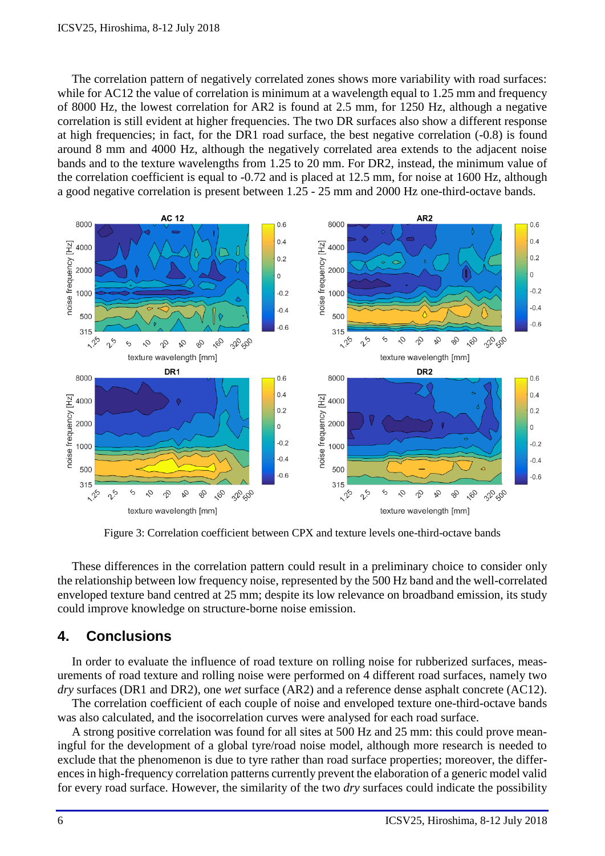The correlation pattern of negatively correlated zones shows more variability with road surfaces: while for AC12 the value of correlation is minimum at a wavelength equal to 1.25 mm and frequency of 8000 Hz, the lowest correlation for AR2 is found at 2.5 mm, for 1250 Hz, although a negative correlation is still evident at higher frequencies. The two DR surfaces also show a different response at high frequencies; in fact, for the DR1 road surface, the best negative correlation (-0.8) is found around 8 mm and 4000 Hz, although the negatively correlated area extends to the adjacent noise bands and to the texture wavelengths from 1.25 to 20 mm. For DR2, instead, the minimum value of the correlation coefficient is equal to -0.72 and is placed at 12.5 mm, for noise at 1600 Hz, although a good negative correlation is present between 1.25 - 25 mm and 2000 Hz one-third-octave bands.



Figure 3: Correlation coefficient between CPX and texture levels one-third-octave bands

These differences in the correlation pattern could result in a preliminary choice to consider only the relationship between low frequency noise, represented by the 500 Hz band and the well-correlated enveloped texture band centred at 25 mm; despite its low relevance on broadband emission, its study could improve knowledge on structure-borne noise emission.

# **4. Conclusions**

In order to evaluate the influence of road texture on rolling noise for rubberized surfaces, measurements of road texture and rolling noise were performed on 4 different road surfaces, namely two *dry* surfaces (DR1 and DR2), one *wet* surface (AR2) and a reference dense asphalt concrete (AC12).

The correlation coefficient of each couple of noise and enveloped texture one-third-octave bands was also calculated, and the isocorrelation curves were analysed for each road surface.

A strong positive correlation was found for all sites at 500 Hz and 25 mm: this could prove meaningful for the development of a global tyre/road noise model, although more research is needed to exclude that the phenomenon is due to tyre rather than road surface properties; moreover, the differences in high-frequency correlation patterns currently prevent the elaboration of a generic model valid for every road surface. However, the similarity of the two *dry* surfaces could indicate the possibility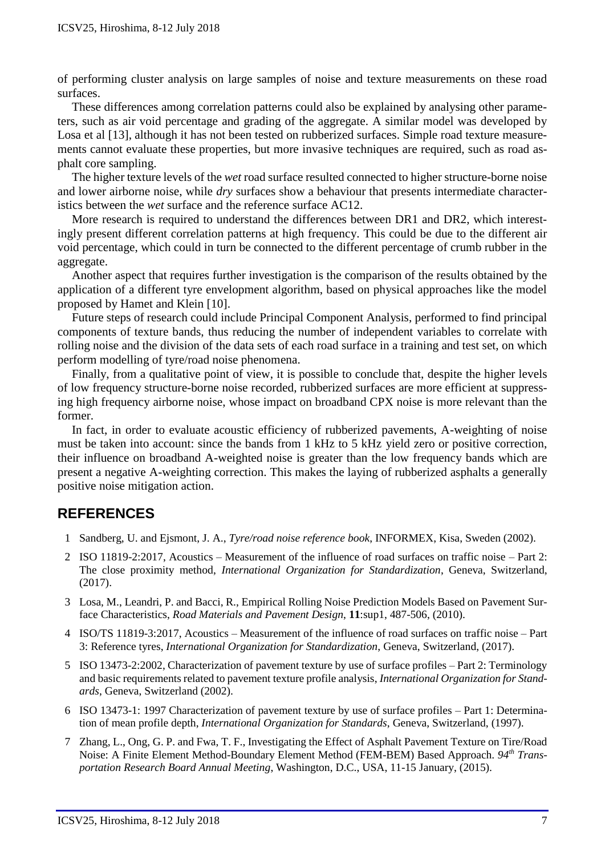of performing cluster analysis on large samples of noise and texture measurements on these road surfaces.

These differences among correlation patterns could also be explained by analysing other parameters, such as air void percentage and grading of the aggregate. A similar model was developed by Losa et al [13], although it has not been tested on rubberized surfaces. Simple road texture measurements cannot evaluate these properties, but more invasive techniques are required, such as road asphalt core sampling.

The higher texture levels of the *wet* road surface resulted connected to higher structure-borne noise and lower airborne noise, while *dry* surfaces show a behaviour that presents intermediate characteristics between the *wet* surface and the reference surface AC12.

More research is required to understand the differences between DR1 and DR2, which interestingly present different correlation patterns at high frequency. This could be due to the different air void percentage, which could in turn be connected to the different percentage of crumb rubber in the aggregate.

Another aspect that requires further investigation is the comparison of the results obtained by the application of a different tyre envelopment algorithm, based on physical approaches like the model proposed by Hamet and Klein [10].

Future steps of research could include Principal Component Analysis, performed to find principal components of texture bands, thus reducing the number of independent variables to correlate with rolling noise and the division of the data sets of each road surface in a training and test set, on which perform modelling of tyre/road noise phenomena.

Finally, from a qualitative point of view, it is possible to conclude that, despite the higher levels of low frequency structure-borne noise recorded, rubberized surfaces are more efficient at suppressing high frequency airborne noise, whose impact on broadband CPX noise is more relevant than the former.

In fact, in order to evaluate acoustic efficiency of rubberized pavements, A-weighting of noise must be taken into account: since the bands from 1 kHz to 5 kHz yield zero or positive correction, their influence on broadband A-weighted noise is greater than the low frequency bands which are present a negative A-weighting correction. This makes the laying of rubberized asphalts a generally positive noise mitigation action.

# **REFERENCES**

- 1 Sandberg, U. and Ejsmont, J. A., *Tyre/road noise reference book*, INFORMEX, Kisa, Sweden (2002).
- 2 ISO 11819-2:2017, Acoustics Measurement of the influence of road surfaces on traffic noise Part 2: The close proximity method, *International Organization for Standardization*, Geneva, Switzerland, (2017).
- 3 Losa, M., Leandri, P. and Bacci, R., Empirical Rolling Noise Prediction Models Based on Pavement Surface Characteristics, *Road Materials and Pavement Design*, **11**:sup1, 487-506, (2010).
- 4 ISO/TS 11819-3:2017, Acoustics Measurement of the influence of road surfaces on traffic noise Part 3: Reference tyres, *International Organization for Standardization*, Geneva, Switzerland, (2017).
- 5 ISO 13473-2:2002, Characterization of pavement texture by use of surface profiles Part 2: Terminology and basic requirements related to pavement texture profile analysis, *International Organization for Standards*, Geneva, Switzerland (2002).
- 6 ISO 13473-1: 1997 Characterization of pavement texture by use of surface profiles Part 1: Determination of mean profile depth, *International Organization for Standards*, Geneva, Switzerland, (1997).
- 7 Zhang, L., Ong, G. P. and Fwa, T. F., Investigating the Effect of Asphalt Pavement Texture on Tire/Road Noise: A Finite Element Method-Boundary Element Method (FEM-BEM) Based Approach. *94th Transportation Research Board Annual Meeting*, Washington, D.C., USA, 11-15 January, (2015).